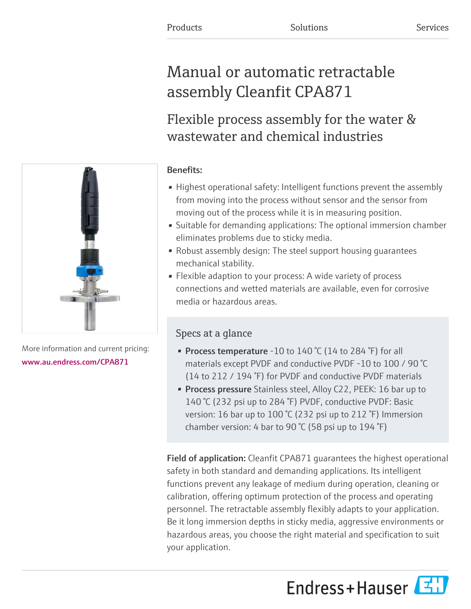# Manual or automatic retractable assembly Cleanfit CPA871

# Flexible process assembly for the water & wastewater and chemical industries

# Benefits:

- Highest operational safety: Intelligent functions prevent the assembly from moving into the process without sensor and the sensor from moving out of the process while it is in measuring position.
- Suitable for demanding applications: The optional immersion chamber eliminates problems due to sticky media.
- Robust assembly design: The steel support housing guarantees mechanical stability.
- Flexible adaption to your process: A wide variety of process connections and wetted materials are available, even for corrosive media or hazardous areas.

# Specs at a glance

- Process temperature -10 to 140 °C (14 to 284 °F) for all materials except PVDF and conductive PVDF -10 to 100 / 90 °C (14 to 212 / 194 °F) for PVDF and conductive PVDF materials
- **Process pressure** Stainless steel, Alloy C22, PEEK: 16 bar up to 140 °C (232 psi up to 284 °F) PVDF, conductive PVDF: Basic version: 16 bar up to 100 °C (232 psi up to 212 °F) Immersion chamber version: 4 bar to 90 °C (58 psi up to 194 °F)

Field of application: Cleanfit CPA871 guarantees the highest operational safety in both standard and demanding applications. Its intelligent functions prevent any leakage of medium during operation, cleaning or calibration, offering optimum protection of the process and operating personnel. The retractable assembly flexibly adapts to your application. Be it long immersion depths in sticky media, aggressive environments or hazardous areas, you choose the right material and specification to suit your application.

Endress+Hauser



More information and current pricing: [www.au.endress.com/CPA871](https://www.au.endress.com/CPA871)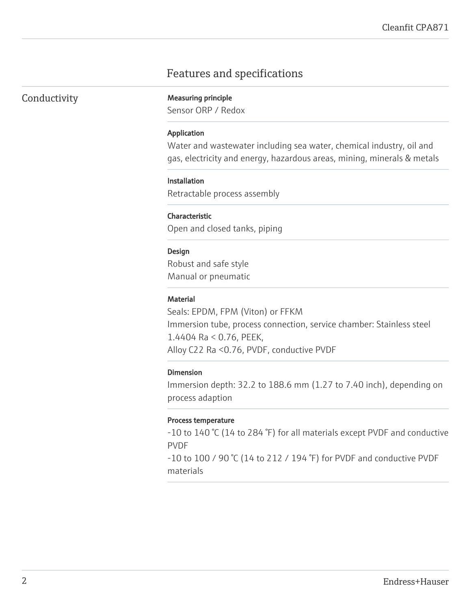# Features and specifications

### Conductivity Measuring principle

Sensor ORP / Redox

#### Application

Water and wastewater including sea water, chemical industry, oil and gas, electricity and energy, hazardous areas, mining, minerals & metals

#### **Installation**

Retractable process assembly

#### Characteristic

Open and closed tanks, piping

#### Design

Robust and safe style Manual or pneumatic

#### Material

Seals: EPDM, FPM (Viton) or FFKM Immersion tube, process connection, service chamber: Stainless steel 1.4404 Ra < 0.76, PEEK, Alloy C22 Ra <0.76, PVDF, conductive PVDF

#### Dimension

Immersion depth: 32.2 to 188.6 mm (1.27 to 7.40 inch), depending on process adaption

#### Process temperature

-10 to 140 °C (14 to 284 °F) for all materials except PVDF and conductive PVDF

-10 to 100 / 90 °C (14 to 212 / 194 °F) for PVDF and conductive PVDF materials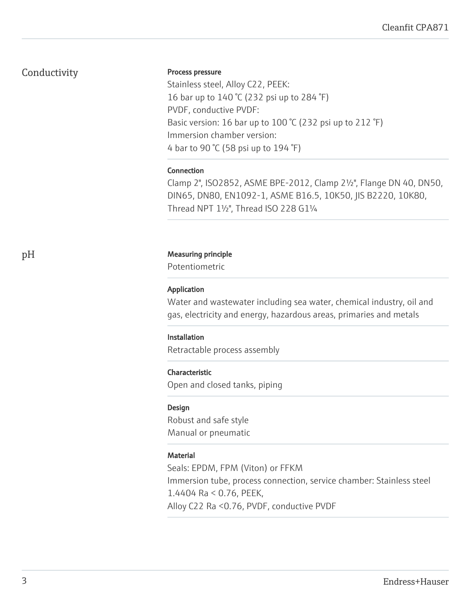### Conductivity

#### Process pressure

Stainless steel, Alloy C22, PEEK: 16 bar up to 140 °C (232 psi up to 284 °F) PVDF, conductive PVDF: Basic version: 16 bar up to 100 °C (232 psi up to 212 °F) Immersion chamber version: 4 bar to 90 °C (58 psi up to 194 °F)

#### Connection

Clamp 2", ISO2852, ASME BPE-2012, Clamp 2½", Flange DN 40, DN50, DIN65, DN80, EN1092-1, ASME B16.5, 10K50, JIS B2220, 10K80, Thread NPT 1½", Thread ISO 228 G1¼

#### pH Measuring principle

Potentiometric

#### Application

Water and wastewater including sea water, chemical industry, oil and gas, electricity and energy, hazardous areas, primaries and metals

#### Installation

Retractable process assembly

#### Characteristic

Open and closed tanks, piping

#### Design

Robust and safe style Manual or pneumatic

#### **Material**

Seals: EPDM, FPM (Viton) or FFKM Immersion tube, process connection, service chamber: Stainless steel 1.4404 Ra < 0.76, PEEK, Alloy C22 Ra <0.76, PVDF, conductive PVDF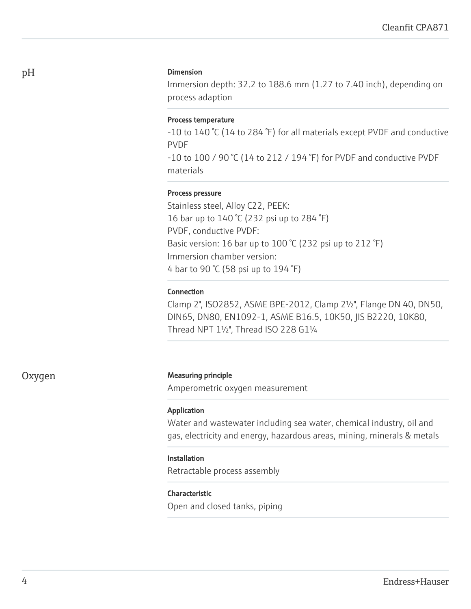#### Dimension

Immersion depth: 32.2 to 188.6 mm (1.27 to 7.40 inch), depending on process adaption

#### Process temperature

-10 to 140 °C (14 to 284 °F) for all materials except PVDF and conductive PVDF

-10 to 100 / 90 °C (14 to 212 / 194 °F) for PVDF and conductive PVDF materials

#### Process pressure

Stainless steel, Alloy C22, PEEK: 16 bar up to 140 °C (232 psi up to 284 °F) PVDF, conductive PVDF: Basic version: 16 bar up to 100 °C (232 psi up to 212 °F) Immersion chamber version: 4 bar to 90 °C (58 psi up to 194 °F)

#### Connection

Clamp 2", ISO2852, ASME BPE-2012, Clamp 2½", Flange DN 40, DN50, DIN65, DN80, EN1092-1, ASME B16.5, 10K50, JIS B2220, 10K80, Thread NPT 1½", Thread ISO 228 G1¼

#### Oxygen Measuring principle

Amperometric oxygen measurement

#### Application

Water and wastewater including sea water, chemical industry, oil and gas, electricity and energy, hazardous areas, mining, minerals & metals

#### Installation

Retractable process assembly

#### Characteristic

Open and closed tanks, piping